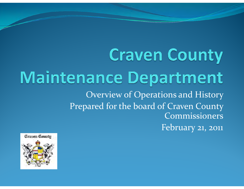### **Craven County Maintenance Department** Overview of Operations and History Prepared for the board of Craven County Commissioners February 21, 2011

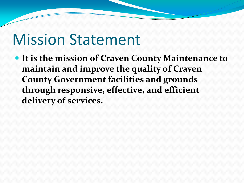### Mission Statement

 **It is the mission of Craven County Maintenance to maintain and improve the quality of Craven County Government facilities and grounds through responsive, effective, and efficient delivery of services.**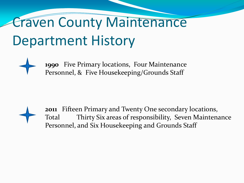## Craven County Maintenance Department History

**1990** Five Primary locations, Four Maintenance Personnel, & Five Housekeeping/Grounds Staff

**2011** Fifteen Primary and Twenty One secondary locations, Total Thirty Six areas of responsibility, Seven Maintenance Personnel, and Six Housekeeping and Grounds Staff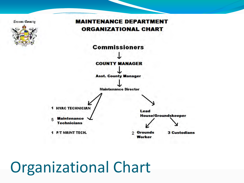

#### **Organizational Chart**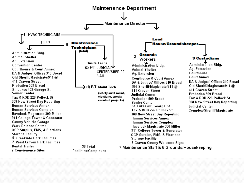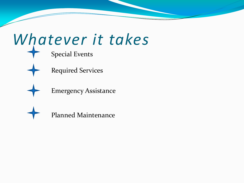# *Whatever it takes*

Special Events



Required Services

Emergency Assistance



Planned Maintenance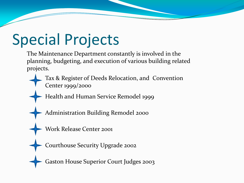## Special Projects

The Maintenance Department constantly is involved in the planning, budgeting, and execution of various building related projects.

- Tax & Register of Deeds Relocation, and Convention Center 1999/2000
- Health and Human Service Remodel 1999
- Administration Building Remodel 2000
- Work Release Center 2001
- Courthouse Security Upgrade 2002
- Gaston House Superior Court Judges 2003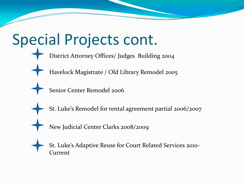### Special Projects cont. Havelock Magistrate / Old Library Remodel 2005 District Attorney Offices/ Judges Building 2004 Senior Center Remodel 2006 St. Luke's Remodel for rental agreement partial 2006/2007 New Judicial Center Clarks 2008/2009 St. Luke's Adaptive Reuse for Court Related Services 2010- **Current**